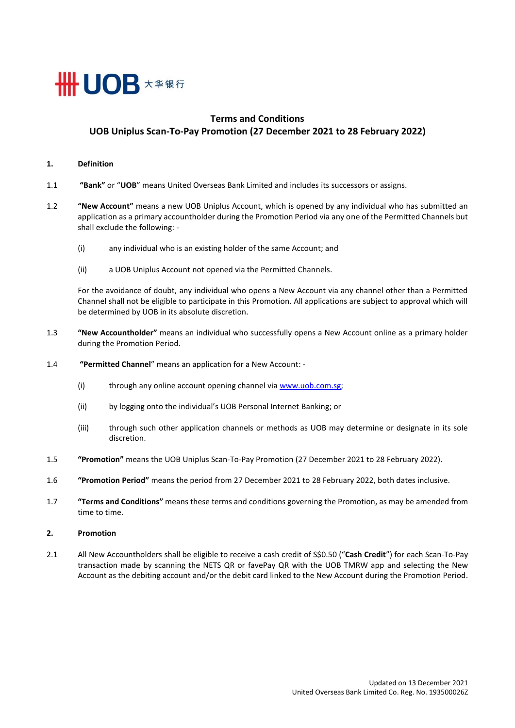

# **Terms and Conditions UOB Uniplus Scan-To-Pay Promotion (27 December 2021 to 28 February 2022)**

### **1. Definition**

- 1.1 **"Bank"** or "**UOB**" means United Overseas Bank Limited and includes its successors or assigns.
- 1.2 **"New Account"** means a new UOB Uniplus Account, which is opened by any individual who has submitted an application as a primary accountholder during the Promotion Period via any one of the Permitted Channels but shall exclude the following: -
	- (i) any individual who is an existing holder of the same Account; and
	- (ii) a UOB Uniplus Account not opened via the Permitted Channels.

For the avoidance of doubt, any individual who opens a New Account via any channel other than a Permitted Channel shall not be eligible to participate in this Promotion. All applications are subject to approval which will be determined by UOB in its absolute discretion.

- 1.3 **"New Accountholder"** means an individual who successfully opens a New Account online as a primary holder during the Promotion Period.
- 1.4 **"Permitted Channel**" means an application for a New Account:
	- (i) through any online account opening channel via www.uob.com.sg;
	- (ii) by logging onto the individual's UOB Personal Internet Banking; or
	- (iii) through such other application channels or methods as UOB may determine or designate in its sole discretion.
- 1.5 **"Promotion"** means the UOB Uniplus Scan-To-Pay Promotion (27 December 2021 to 28 February 2022).
- 1.6 **"Promotion Period"** means the period from 27 December 2021 to 28 February 2022, both dates inclusive.
- 1.7 **"Terms and Conditions"** means these terms and conditions governing the Promotion, as may be amended from time to time.
- **2. Promotion**
- 2.1 All New Accountholders shall be eligible to receive a cash credit of S\$0.50 ("**Cash Credit**") for each Scan-To-Pay transaction made by scanning the NETS QR or favePay QR with the UOB TMRW app and selecting the New Account as the debiting account and/or the debit card linked to the New Account during the Promotion Period.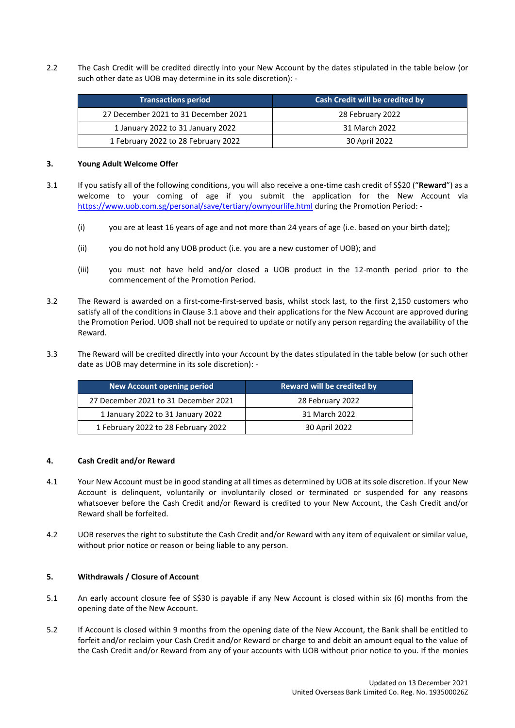2.2 The Cash Credit will be credited directly into your New Account by the dates stipulated in the table below (or such other date as UOB may determine in its sole discretion): -

| <b>Transactions period</b>           | Cash Credit will be credited by |
|--------------------------------------|---------------------------------|
| 27 December 2021 to 31 December 2021 | 28 February 2022                |
| 1 January 2022 to 31 January 2022    | 31 March 2022                   |
| 1 February 2022 to 28 February 2022  | 30 April 2022                   |

### **3. Young Adult Welcome Offer**

- <span id="page-1-0"></span>3.1 If you satisfy all of the following conditions, you will also receive a one-time cash credit of S\$20 ("**Reward**") as a welcome to your coming of age if you submit the application for the New Account via <https://www.uob.com.sg/personal/save/tertiary/ownyourlife.html> during the Promotion Period: -
	- (i) you are at least 16 years of age and not more than 24 years of age (i.e. based on your birth date);
	- (ii) you do not hold any UOB product (i.e. you are a new customer of UOB); and
	- (iii) you must not have held and/or closed a UOB product in the 12-month period prior to the commencement of the Promotion Period.
- 3.2 The Reward is awarded on a first-come-first-served basis, whilst stock last, to the first 2,150 customers who satisfy all of the conditions in Claus[e 3.1 above](#page-1-0) and their applications for the New Account are approved during the Promotion Period. UOB shall not be required to update or notify any person regarding the availability of the Reward.
- 3.3 The Reward will be credited directly into your Account by the dates stipulated in the table below (or such other date as UOB may determine in its sole discretion): -

| New Account opening period           | Reward will be credited by |
|--------------------------------------|----------------------------|
| 27 December 2021 to 31 December 2021 | 28 February 2022           |
| 1 January 2022 to 31 January 2022    | 31 March 2022              |
| 1 February 2022 to 28 February 2022  | 30 April 2022              |

## **4. Cash Credit and/or Reward**

- 4.1 Your New Account must be in good standing at all times as determined by UOB at its sole discretion. If your New Account is delinquent, voluntarily or involuntarily closed or terminated or suspended for any reasons whatsoever before the Cash Credit and/or Reward is credited to your New Account, the Cash Credit and/or Reward shall be forfeited.
- 4.2 UOB reserves the right to substitute the Cash Credit and/or Reward with any item of equivalent or similar value, without prior notice or reason or being liable to any person.

## **5. Withdrawals / Closure of Account**

- 5.1 An early account closure fee of S\$30 is payable if any New Account is closed within six (6) months from the opening date of the New Account.
- 5.2 If Account is closed within 9 months from the opening date of the New Account, the Bank shall be entitled to forfeit and/or reclaim your Cash Credit and/or Reward or charge to and debit an amount equal to the value of the Cash Credit and/or Reward from any of your accounts with UOB without prior notice to you. If the monies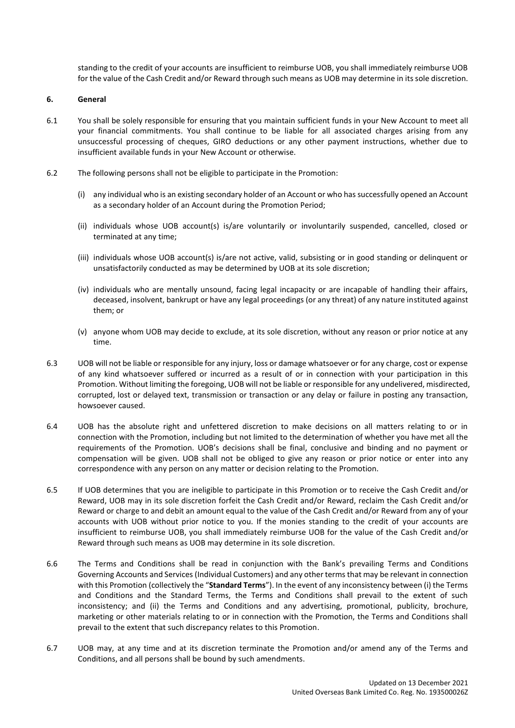standing to the credit of your accounts are insufficient to reimburse UOB, you shall immediately reimburse UOB for the value of the Cash Credit and/or Reward through such means as UOB may determine in its sole discretion.

## **6. General**

- 6.1 You shall be solely responsible for ensuring that you maintain sufficient funds in your New Account to meet all your financial commitments. You shall continue to be liable for all associated charges arising from any unsuccessful processing of cheques, GIRO deductions or any other payment instructions, whether due to insufficient available funds in your New Account or otherwise.
- 6.2 The following persons shall not be eligible to participate in the Promotion:
	- (i) any individual who is an existing secondary holder of an Account or who has successfully opened an Account as a secondary holder of an Account during the Promotion Period;
	- (ii) individuals whose UOB account(s) is/are voluntarily or involuntarily suspended, cancelled, closed or terminated at any time;
	- (iii) individuals whose UOB account(s) is/are not active, valid, subsisting or in good standing or delinquent or unsatisfactorily conducted as may be determined by UOB at its sole discretion;
	- (iv) individuals who are mentally unsound, facing legal incapacity or are incapable of handling their affairs, deceased, insolvent, bankrupt or have any legal proceedings (or any threat) of any nature instituted against them; or
	- (v) anyone whom UOB may decide to exclude, at its sole discretion, without any reason or prior notice at any time.
- 6.3 UOB will not be liable or responsible for any injury, loss or damage whatsoever or for any charge, cost or expense of any kind whatsoever suffered or incurred as a result of or in connection with your participation in this Promotion. Without limiting the foregoing, UOB will not be liable or responsible for any undelivered, misdirected, corrupted, lost or delayed text, transmission or transaction or any delay or failure in posting any transaction, howsoever caused.
- 6.4 UOB has the absolute right and unfettered discretion to make decisions on all matters relating to or in connection with the Promotion, including but not limited to the determination of whether you have met all the requirements of the Promotion. UOB's decisions shall be final, conclusive and binding and no payment or compensation will be given. UOB shall not be obliged to give any reason or prior notice or enter into any correspondence with any person on any matter or decision relating to the Promotion.
- 6.5 If UOB determines that you are ineligible to participate in this Promotion or to receive the Cash Credit and/or Reward, UOB may in its sole discretion forfeit the Cash Credit and/or Reward, reclaim the Cash Credit and/or Reward or charge to and debit an amount equal to the value of the Cash Credit and/or Reward from any of your accounts with UOB without prior notice to you. If the monies standing to the credit of your accounts are insufficient to reimburse UOB, you shall immediately reimburse UOB for the value of the Cash Credit and/or Reward through such means as UOB may determine in its sole discretion.
- 6.6 The Terms and Conditions shall be read in conjunction with the Bank's prevailing Terms and Conditions Governing Accounts and Services (Individual Customers) and any other terms that may be relevant in connection with this Promotion (collectively the "**Standard Terms**"). In the event of any inconsistency between (i) the Terms and Conditions and the Standard Terms, the Terms and Conditions shall prevail to the extent of such inconsistency; and (ii) the Terms and Conditions and any advertising, promotional, publicity, brochure, marketing or other materials relating to or in connection with the Promotion, the Terms and Conditions shall prevail to the extent that such discrepancy relates to this Promotion.
- 6.7 UOB may, at any time and at its discretion terminate the Promotion and/or amend any of the Terms and Conditions, and all persons shall be bound by such amendments.